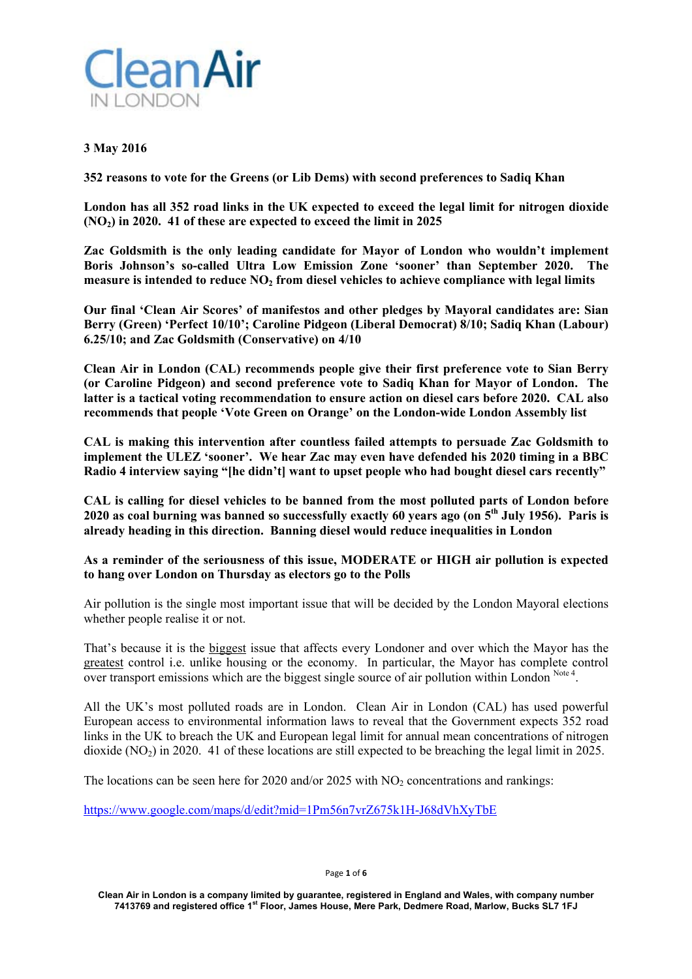

## **3 May 2016**

**352 reasons to vote for the Greens (or Lib Dems) with second preferences to Sadiq Khan** 

**London has all 352 road links in the UK expected to exceed the legal limit for nitrogen dioxide (NO2) in 2020. 41 of these are expected to exceed the limit in 2025** 

**Zac Goldsmith is the only leading candidate for Mayor of London who wouldn't implement Boris Johnson's so-called Ultra Low Emission Zone 'sooner' than September 2020. The measure is intended to reduce NO2 from diesel vehicles to achieve compliance with legal limits** 

**Our final 'Clean Air Scores' of manifestos and other pledges by Mayoral candidates are: Sian Berry (Green) 'Perfect 10/10'; Caroline Pidgeon (Liberal Democrat) 8/10; Sadiq Khan (Labour) 6.25/10; and Zac Goldsmith (Conservative) on 4/10** 

**Clean Air in London (CAL) recommends people give their first preference vote to Sian Berry (or Caroline Pidgeon) and second preference vote to Sadiq Khan for Mayor of London. The latter is a tactical voting recommendation to ensure action on diesel cars before 2020. CAL also recommends that people 'Vote Green on Orange' on the London-wide London Assembly list** 

**CAL is making this intervention after countless failed attempts to persuade Zac Goldsmith to implement the ULEZ 'sooner'. We hear Zac may even have defended his 2020 timing in a BBC Radio 4 interview saying "[he didn't] want to upset people who had bought diesel cars recently"** 

**CAL is calling for diesel vehicles to be banned from the most polluted parts of London before 2020 as coal burning was banned so successfully exactly 60 years ago (on 5th July 1956). Paris is already heading in this direction. Banning diesel would reduce inequalities in London** 

**As a reminder of the seriousness of this issue, MODERATE or HIGH air pollution is expected to hang over London on Thursday as electors go to the Polls** 

Air pollution is the single most important issue that will be decided by the London Mayoral elections whether people realise it or not.

That's because it is the biggest issue that affects every Londoner and over which the Mayor has the greatest control i.e. unlike housing or the economy. In particular, the Mayor has complete control over transport emissions which are the biggest single source of air pollution within London Note 4.

All the UK's most polluted roads are in London. Clean Air in London (CAL) has used powerful European access to environmental information laws to reveal that the Government expects 352 road links in the UK to breach the UK and European legal limit for annual mean concentrations of nitrogen dioxide (NO<sub>2</sub>) in 2020. 41 of these locations are still expected to be breaching the legal limit in 2025.

The locations can be seen here for 2020 and/or 2025 with  $NO<sub>2</sub>$  concentrations and rankings:

https://www.google.com/maps/d/edit?mid=1Pm56n7vrZ675k1H-J68dVhXyTbE

Page **1** of **6**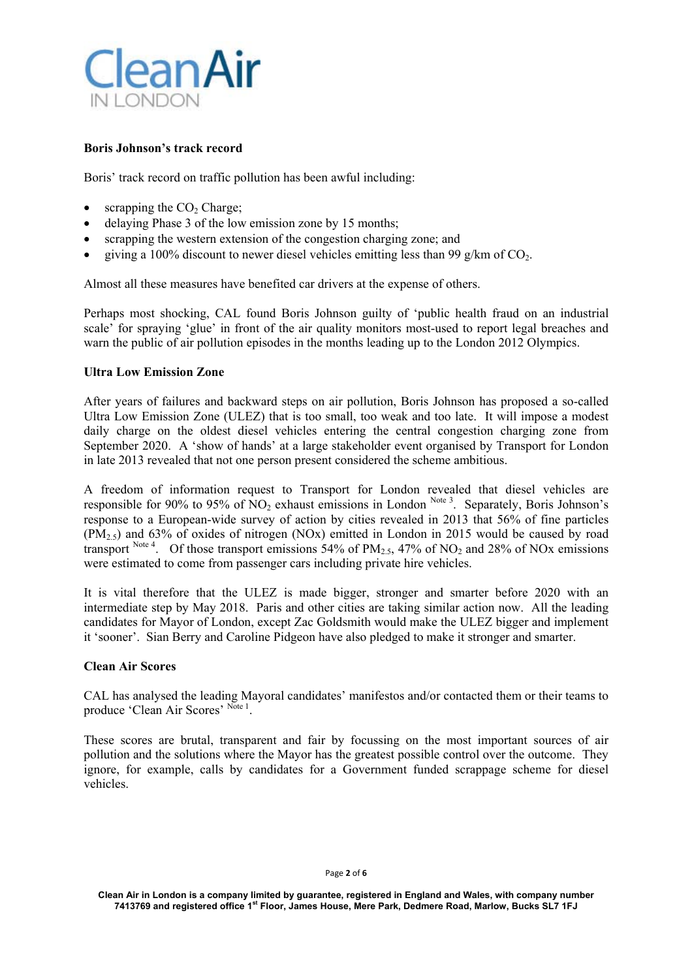

### **Boris Johnson's track record**

Boris' track record on traffic pollution has been awful including:

- scrapping the  $CO<sub>2</sub>$  Charge;
- delaying Phase 3 of the low emission zone by 15 months;
- scrapping the western extension of the congestion charging zone; and
- giving a 100% discount to newer diesel vehicles emitting less than 99 g/km of  $CO<sub>2</sub>$ .

Almost all these measures have benefited car drivers at the expense of others.

Perhaps most shocking, CAL found Boris Johnson guilty of 'public health fraud on an industrial scale' for spraying 'glue' in front of the air quality monitors most-used to report legal breaches and warn the public of air pollution episodes in the months leading up to the London 2012 Olympics.

#### **Ultra Low Emission Zone**

After years of failures and backward steps on air pollution, Boris Johnson has proposed a so-called Ultra Low Emission Zone (ULEZ) that is too small, too weak and too late. It will impose a modest daily charge on the oldest diesel vehicles entering the central congestion charging zone from September 2020. A 'show of hands' at a large stakeholder event organised by Transport for London in late 2013 revealed that not one person present considered the scheme ambitious.

A freedom of information request to Transport for London revealed that diesel vehicles are responsible for 90% to 95% of NO<sub>2</sub> exhaust emissions in London Note 3. Separately, Boris Johnson's response to a European-wide survey of action by cities revealed in 2013 that 56% of fine particles  $(PM<sub>2.5</sub>)$  and 63% of oxides of nitrogen (NOx) emitted in London in 2015 would be caused by road transport Note 4. Of those transport emissions 54% of  $PM_{2.5}$ , 47% of NO<sub>2</sub> and 28% of NO<sub>x</sub> emissions were estimated to come from passenger cars including private hire vehicles.

It is vital therefore that the ULEZ is made bigger, stronger and smarter before 2020 with an intermediate step by May 2018. Paris and other cities are taking similar action now. All the leading candidates for Mayor of London, except Zac Goldsmith would make the ULEZ bigger and implement it 'sooner'. Sian Berry and Caroline Pidgeon have also pledged to make it stronger and smarter.

### **Clean Air Scores**

CAL has analysed the leading Mayoral candidates' manifestos and/or contacted them or their teams to produce 'Clean Air Scores' Note 1.

These scores are brutal, transparent and fair by focussing on the most important sources of air pollution and the solutions where the Mayor has the greatest possible control over the outcome. They ignore, for example, calls by candidates for a Government funded scrappage scheme for diesel vehicles.

#### Page **2** of **6**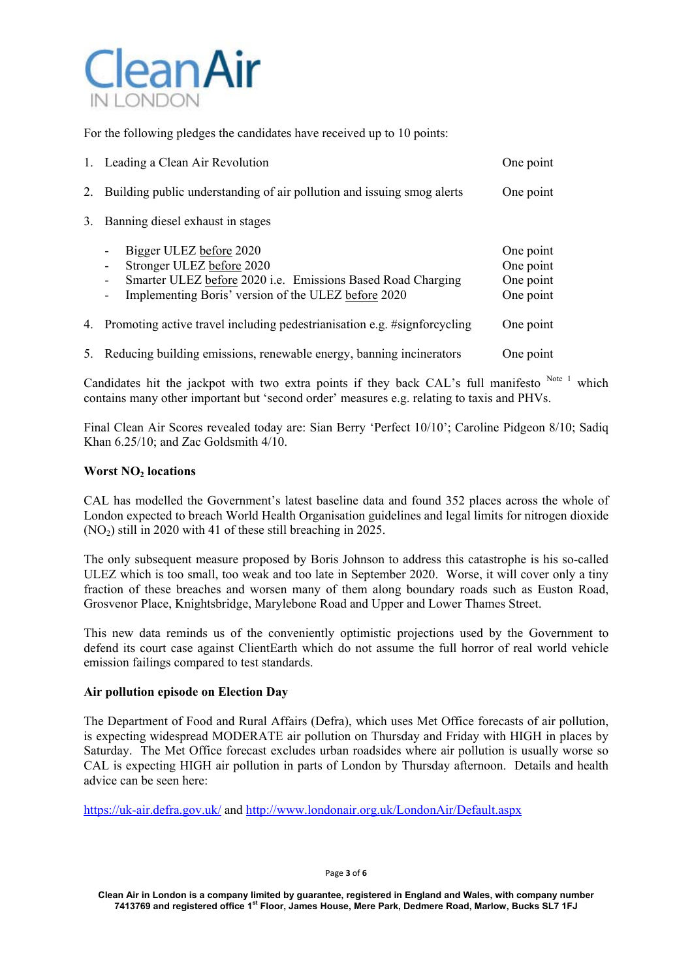

For the following pledges the candidates have received up to 10 points:

| 1. Leading a Clean Air Revolution                                                                                                                                                                                                                         | One point                                        |
|-----------------------------------------------------------------------------------------------------------------------------------------------------------------------------------------------------------------------------------------------------------|--------------------------------------------------|
| 2. Building public understanding of air pollution and issuing smog alerts                                                                                                                                                                                 | One point                                        |
| 3. Banning diesel exhaust in stages                                                                                                                                                                                                                       |                                                  |
| Bigger ULEZ before 2020<br>$\overline{\phantom{a}}$<br>Stronger ULEZ before 2020<br>$\overline{\phantom{a}}$<br>Smarter ULEZ before 2020 i.e. Emissions Based Road Charging<br>-<br>Implementing Boris' version of the ULEZ before 2020<br>$\overline{a}$ | One point<br>One point<br>One point<br>One point |
| 4. Promoting active travel including pedestrianisation e.g. #signforcycling                                                                                                                                                                               | One point                                        |
| 5. Reducing building emissions, renewable energy, banning incinerators                                                                                                                                                                                    | One point                                        |

Candidates hit the jackpot with two extra points if they back CAL's full manifesto  $N_{\text{ot}e}^{-1}$  which contains many other important but 'second order' measures e.g. relating to taxis and PHVs.

Final Clean Air Scores revealed today are: Sian Berry 'Perfect 10/10'; Caroline Pidgeon 8/10; Sadiq Khan 6.25/10; and Zac Goldsmith 4/10.

### **Worst NO2 locations**

CAL has modelled the Government's latest baseline data and found 352 places across the whole of London expected to breach World Health Organisation guidelines and legal limits for nitrogen dioxide  $(NO<sub>2</sub>)$  still in 2020 with 41 of these still breaching in 2025.

The only subsequent measure proposed by Boris Johnson to address this catastrophe is his so-called ULEZ which is too small, too weak and too late in September 2020. Worse, it will cover only a tiny fraction of these breaches and worsen many of them along boundary roads such as Euston Road, Grosvenor Place, Knightsbridge, Marylebone Road and Upper and Lower Thames Street.

This new data reminds us of the conveniently optimistic projections used by the Government to defend its court case against ClientEarth which do not assume the full horror of real world vehicle emission failings compared to test standards.

### **Air pollution episode on Election Day**

The Department of Food and Rural Affairs (Defra), which uses Met Office forecasts of air pollution, is expecting widespread MODERATE air pollution on Thursday and Friday with HIGH in places by Saturday. The Met Office forecast excludes urban roadsides where air pollution is usually worse so CAL is expecting HIGH air pollution in parts of London by Thursday afternoon. Details and health advice can be seen here:

https://uk-air.defra.gov.uk/ and http://www.londonair.org.uk/LondonAir/Default.aspx

Page **3** of **6**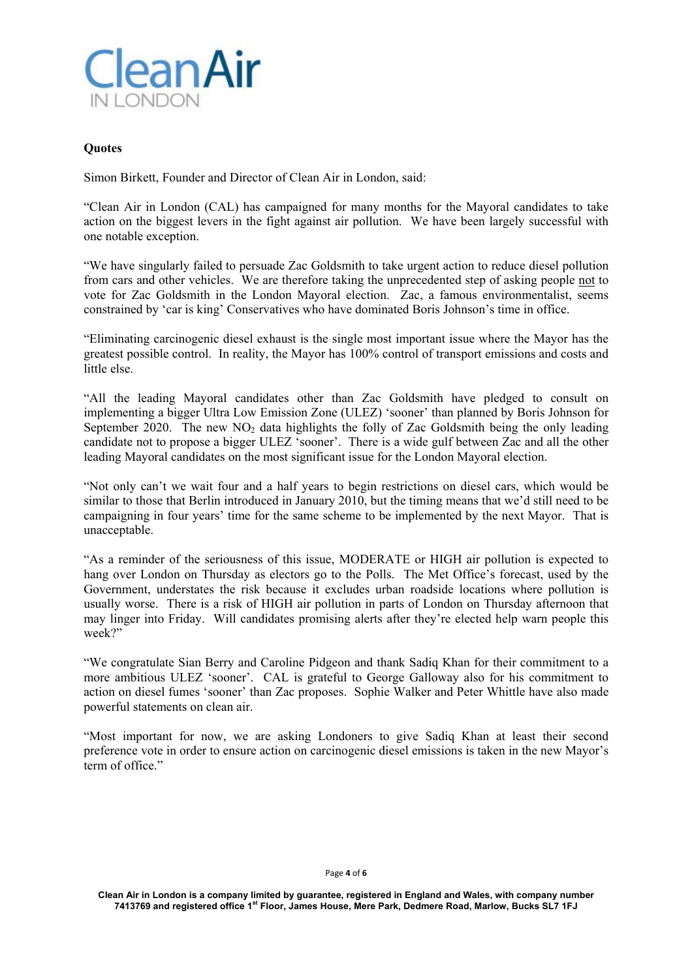

#### **Quotes**

Simon Birkett, Founder and Director of Clean Air in London, said:

"Clean Air in London (CAL) has campaigned for many months for the Mayoral candidates to take action on the biggest levers in the fight against air pollution. We have been largely successful with one notable exception.

"We have singularly failed to persuade Zac Goldsmith to take urgent action to reduce diesel pollution from cars and other vehicles. We are therefore taking the unprecedented step of asking people not to vote for Zac Goldsmith in the London Mayoral election. Zac, a famous environmentalist, seems constrained by 'car is king' Conservatives who have dominated Boris Johnson's time in office.

"Eliminating carcinogenic diesel exhaust is the single most important issue where the Mayor has the greatest possible control. In reality, the Mayor has 100% control of transport emissions and costs and little else.

"All the leading Mayoral candidates other than Zac Goldsmith have pledged to consult on implementing a bigger Ultra Low Emission Zone (ULEZ) 'sooner' than planned by Boris Johnson for September 2020. The new NO<sub>2</sub> data highlights the folly of Zac Goldsmith being the only leading candidate not to propose a bigger ULEZ 'sooner'. There is a wide gulf between Zac and all the other leading Mayoral candidates on the most significant issue for the London Mayoral election.

"Not only can't we wait four and a half years to begin restrictions on diesel cars, which would be similar to those that Berlin introduced in January 2010, but the timing means that we'd still need to be campaigning in four years' time for the same scheme to be implemented by the next Mayor. That is unacceptable.

"As a reminder of the seriousness of this issue, MODERATE or HIGH air pollution is expected to hang over London on Thursday as electors go to the Polls. The Met Office's forecast, used by the Government, understates the risk because it excludes urban roadside locations where pollution is usually worse. There is a risk of HIGH air pollution in parts of London on Thursday afternoon that may linger into Friday. Will candidates promising alerts after they're elected help warn people this week?"

"We congratulate Sian Berry and Caroline Pidgeon and thank Sadiq Khan for their commitment to a more ambitious ULEZ 'sooner'. CAL is grateful to George Galloway also for his commitment to action on diesel fumes 'sooner' than Zac proposes. Sophie Walker and Peter Whittle have also made powerful statements on clean air.

"Most important for now, we are asking Londoners to give Sadiq Khan at least their second preference vote in order to ensure action on carcinogenic diesel emissions is taken in the new Mayor's term of office."

#### Page **4** of **6**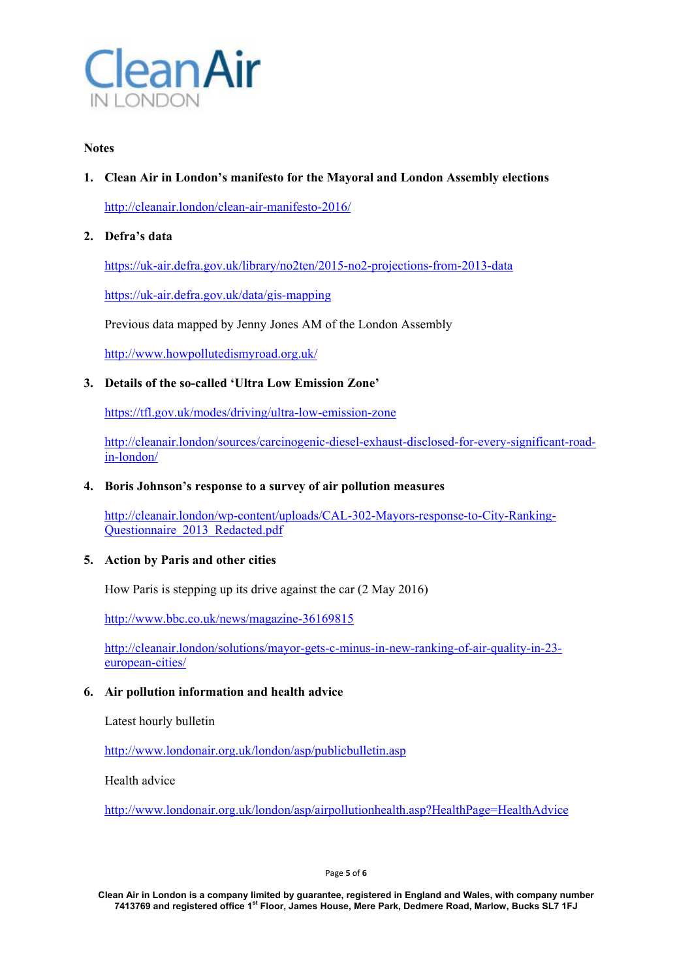

### **Notes**

# **1. Clean Air in London's manifesto for the Mayoral and London Assembly elections**

http://cleanair.london/clean-air-manifesto-2016/

# **2. Defra's data**

https://uk-air.defra.gov.uk/library/no2ten/2015-no2-projections-from-2013-data

https://uk-air.defra.gov.uk/data/gis-mapping

Previous data mapped by Jenny Jones AM of the London Assembly

http://www.howpollutedismyroad.org.uk/

# **3. Details of the so-called 'Ultra Low Emission Zone'**

https://tfl.gov.uk/modes/driving/ultra-low-emission-zone

http://cleanair.london/sources/carcinogenic-diesel-exhaust-disclosed-for-every-significant-roadin-london/

## **4. Boris Johnson's response to a survey of air pollution measures**

http://cleanair.london/wp-content/uploads/CAL-302-Mayors-response-to-City-Ranking-Questionnaire\_2013\_Redacted.pdf

### **5. Action by Paris and other cities**

How Paris is stepping up its drive against the car (2 May 2016)

http://www.bbc.co.uk/news/magazine-36169815

http://cleanair.london/solutions/mayor-gets-c-minus-in-new-ranking-of-air-quality-in-23 european-cities/

## **6. Air pollution information and health advice**

Latest hourly bulletin

http://www.londonair.org.uk/london/asp/publicbulletin.asp

Health advice

http://www.londonair.org.uk/london/asp/airpollutionhealth.asp?HealthPage=HealthAdvice

Page **5** of **6**